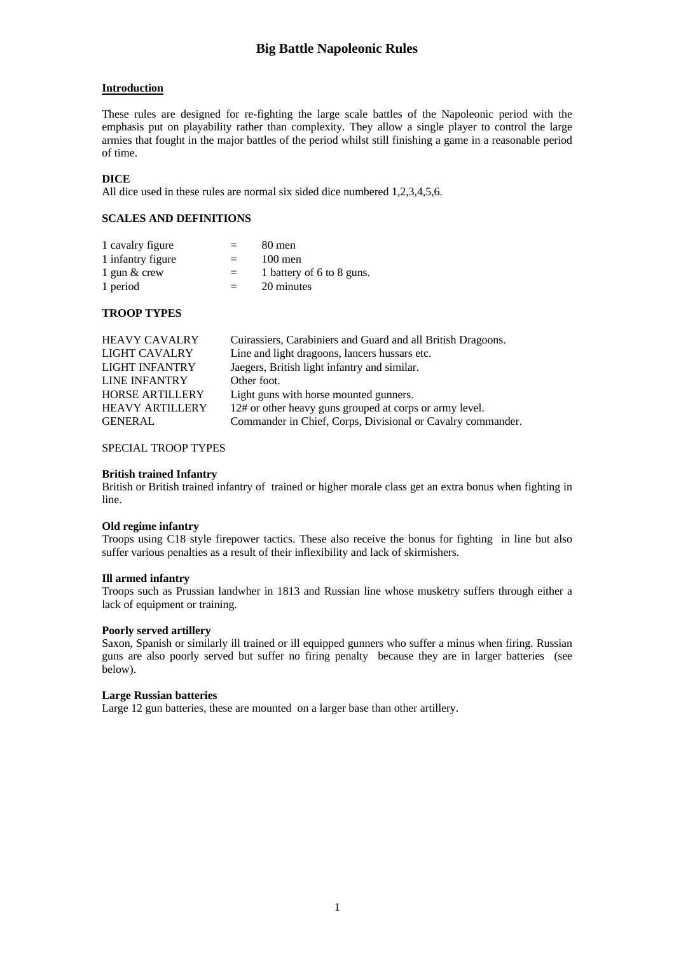# **Introduction**

These rules are designed for re-fighting the large scale battles of the Napoleonic period with the emphasis put on playability rather than complexity. They allow a single player to control the large armies that fought in the major battles of the period whilst still finishing a game in a reasonable period of time.

# **DICE**

All dice used in these rules are normal six sided dice numbered 1,2,3,4,5,6.

# **SCALES AND DEFINITIONS**

| 1 cavalry figure  | $=$ | 80 men                    |
|-------------------|-----|---------------------------|
| 1 infantry figure | $=$ | $100$ men                 |
| 1 gun $\&$ crew   | $=$ | 1 battery of 6 to 8 guns. |
| 1 period          | $=$ | 20 minutes                |

## **TROOP TYPES**

| <b>HEAVY CAVALRY</b>   | Cuirassiers, Carabiniers and Guard and all British Dragoons. |
|------------------------|--------------------------------------------------------------|
| LIGHT CAVALRY          | Line and light dragoons, lancers hussars etc.                |
| <b>LIGHT INFANTRY</b>  | Jaegers, British light infantry and similar.                 |
| <b>LINE INFANTRY</b>   | Other foot.                                                  |
| <b>HORSE ARTILLERY</b> | Light guns with horse mounted gunners.                       |
| <b>HEAVY ARTILLERY</b> | 12# or other heavy guns grouped at corps or army level.      |
| <b>GENERAL</b>         | Commander in Chief, Corps, Divisional or Cavalry commander.  |

## SPECIAL TROOP TYPES

#### **British trained Infantry**

British or British trained infantry of trained or higher morale class get an extra bonus when fighting in line.

## **Old regime infantry**

Troops using C18 style firepower tactics. These also receive the bonus for fighting in line but also suffer various penalties as a result of their inflexibility and lack of skirmishers.

## **Ill armed infantry**

Troops such as Prussian landwher in 1813 and Russian line whose musketry suffers through either a lack of equipment or training.

## **Poorly served artillery**

Saxon, Spanish or similarly ill trained or ill equipped gunners who suffer a minus when firing. Russian guns are also poorly served but suffer no firing penalty because they are in larger batteries (see below).

#### **Large Russian batteries**

Large 12 gun batteries, these are mounted on a larger base than other artillery.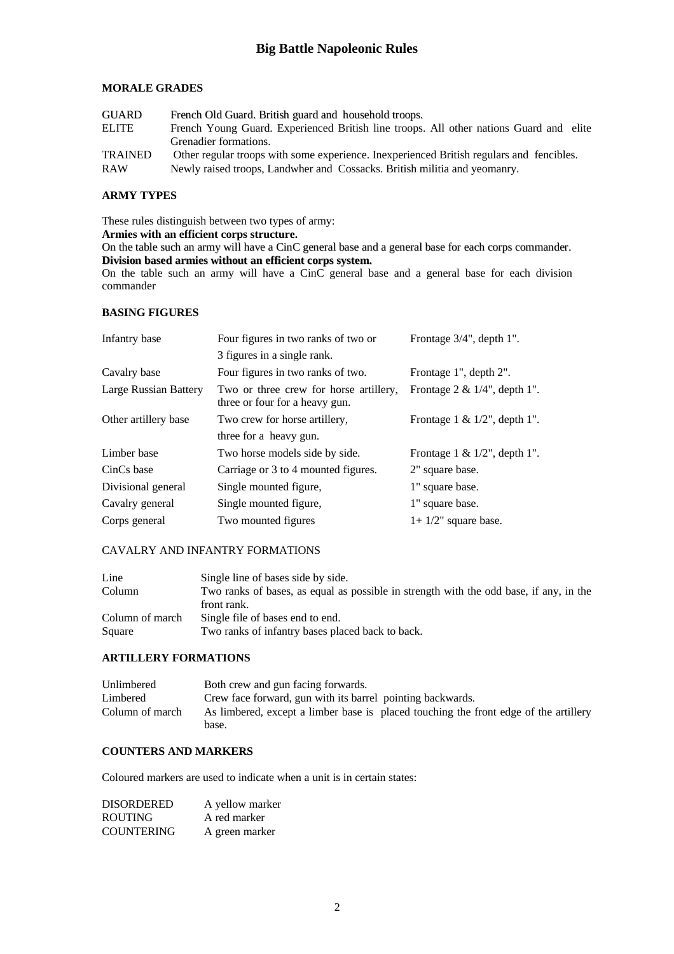# **MORALE GRADES**

| <b>GUARD</b>   | French Old Guard. British guard and household troops.                                     |
|----------------|-------------------------------------------------------------------------------------------|
| ELITE          | French Young Guard. Experienced British line troops. All other nations Guard and elite    |
|                | Grenadier formations.                                                                     |
| <b>TRAINED</b> | Other regular troops with some experience. In experienced British regulars and fencibles. |
| <b>RAW</b>     | Newly raised troops, Landwher and Cossacks. British militia and yeomanry.                 |

## **ARMY TYPES**

These rules distinguish between two types of army:

**Armies with an efficient corps structure.**

On the table such an army will have a CinC general base and a general base for each corps commander. **Division based armies without an efficient corps system.**

On the table such an army will have a CinC general base and a general base for each division commander

# **BASING FIGURES**

| Infantry base         | Four figures in two ranks of two or                                      | Frontage 3/4", depth 1".         |
|-----------------------|--------------------------------------------------------------------------|----------------------------------|
|                       | 3 figures in a single rank.                                              |                                  |
| Cavalry base          | Four figures in two ranks of two.                                        | Frontage 1", depth 2".           |
| Large Russian Battery | Two or three crew for horse artillery,<br>three or four for a heavy gun. | Frontage $2 \& 1/4$ ", depth 1". |
| Other artillery base  | Two crew for horse artillery,                                            | Frontage 1 & $1/2$ ", depth 1".  |
|                       | three for a heavy gun.                                                   |                                  |
| Limber base           | Two horse models side by side.                                           | Frontage $1 \& 1/2$ ", depth 1". |
| CinCs base            | Carriage or 3 to 4 mounted figures.                                      | 2" square base.                  |
| Divisional general    | Single mounted figure,                                                   | 1" square base.                  |
| Cavalry general       | Single mounted figure,                                                   | 1" square base.                  |
| Corps general         | Two mounted figures                                                      | $1+1/2$ " square base.           |

# CAVALRY AND INFANTRY FORMATIONS

| Line            | Single line of bases side by side.                                                     |
|-----------------|----------------------------------------------------------------------------------------|
| Column          | Two ranks of bases, as equal as possible in strength with the odd base, if any, in the |
|                 | front rank.                                                                            |
| Column of march | Single file of bases end to end.                                                       |
| Square          | Two ranks of infantry bases placed back to back.                                       |

## **ARTILLERY FORMATIONS**

| Unlimbered      | Both crew and gun facing forwards.                                                            |
|-----------------|-----------------------------------------------------------------------------------------------|
| Limbered        | Crew face forward, gun with its barrel pointing backwards.                                    |
| Column of march | As limbered, except a limber base is placed touching the front edge of the artillery<br>base. |

## **COUNTERS AND MARKERS**

Coloured markers are used to indicate when a unit is in certain states:

| DISORDERED        | A yellow marker |
|-------------------|-----------------|
| <b>ROUTING</b>    | A red marker    |
| <b>COUNTERING</b> | A green marker  |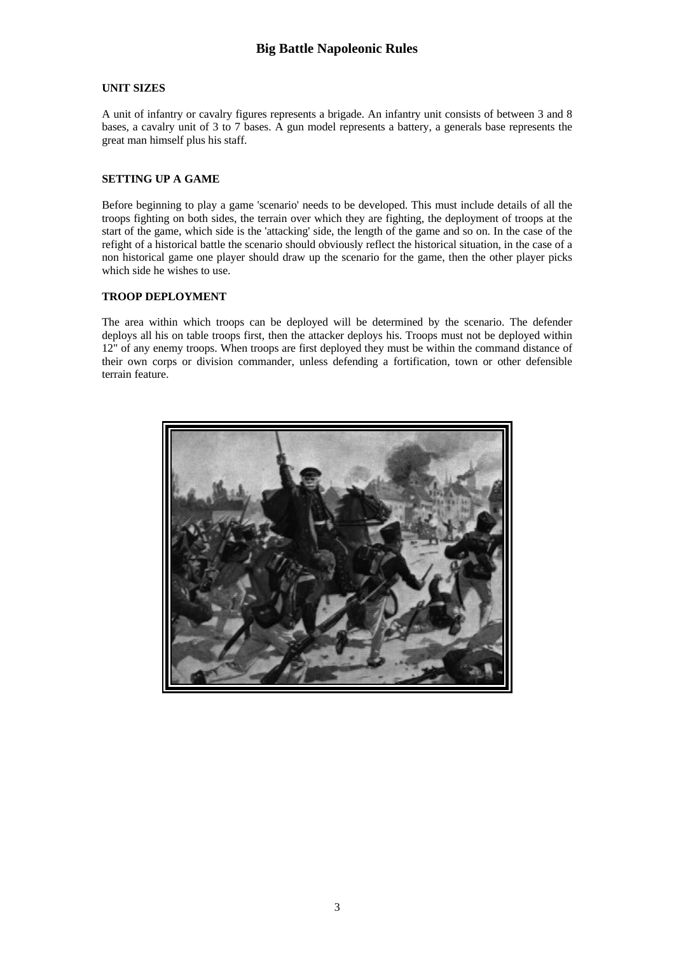# **UNIT SIZES**

A unit of infantry or cavalry figures represents a brigade. An infantry unit consists of between 3 and 8 bases, a cavalry unit of 3 to 7 bases. A gun model represents a battery, a generals base represents the great man himself plus his staff.

# **SETTING UP A GAME**

Before beginning to play a game 'scenario' needs to be developed. This must include details of all the troops fighting on both sides, the terrain over which they are fighting, the deployment of troops at the start of the game, which side is the 'attacking' side, the length of the game and so on. In the case of the refight of a historical battle the scenario should obviously reflect the historical situation, in the case of a non historical game one player should draw up the scenario for the game, then the other player picks which side he wishes to use.

# **TROOP DEPLOYMENT**

The area within which troops can be deployed will be determined by the scenario. The defender deploys all his on table troops first, then the attacker deploys his. Troops must not be deployed within 12" of any enemy troops. When troops are first deployed they must be within the command distance of their own corps or division commander, unless defending a fortification, town or other defensible terrain feature.

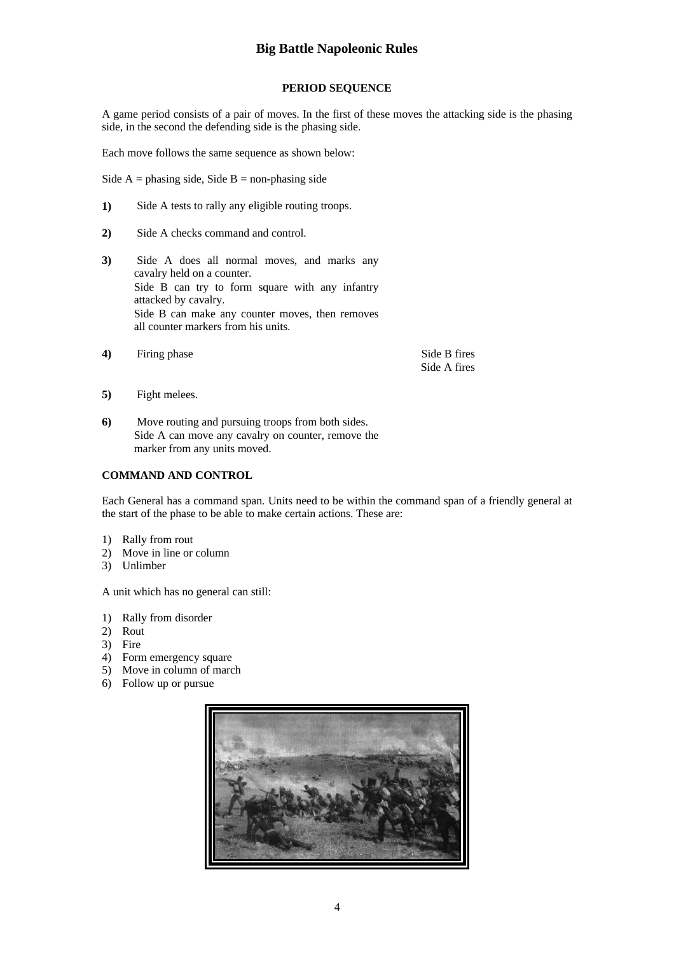# **PERIOD SEQUENCE**

A game period consists of a pair of moves. In the first of these moves the attacking side is the phasing side, in the second the defending side is the phasing side.

Each move follows the same sequence as shown below:

Side  $A =$  phasing side, Side  $B =$  non-phasing side

- **1)** Side A tests to rally any eligible routing troops.
- **2)** Side A checks command and control.
- **3)** Side A does all normal moves, and marks any cavalry held on a counter. Side B can try to form square with any infantry attacked by cavalry. Side B can make any counter moves, then removes all counter markers from his units.
- **4)** Firing phase Side B fires

Side A fires

- **5)** Fight melees.
- **6)** Move routing and pursuing troops from both sides. Side A can move any cavalry on counter, remove the marker from any units moved.

#### **COMMAND AND CONTROL**

Each General has a command span. Units need to be within the command span of a friendly general at the start of the phase to be able to make certain actions. These are:

- 1) Rally from rout
- 2) Move in line or column
- 3) Unlimber

A unit which has no general can still:

- 1) Rally from disorder
- 2) Rout
- 3) Fire
- 4) Form emergency square
- 5) Move in column of march
- 6) Follow up or pursue

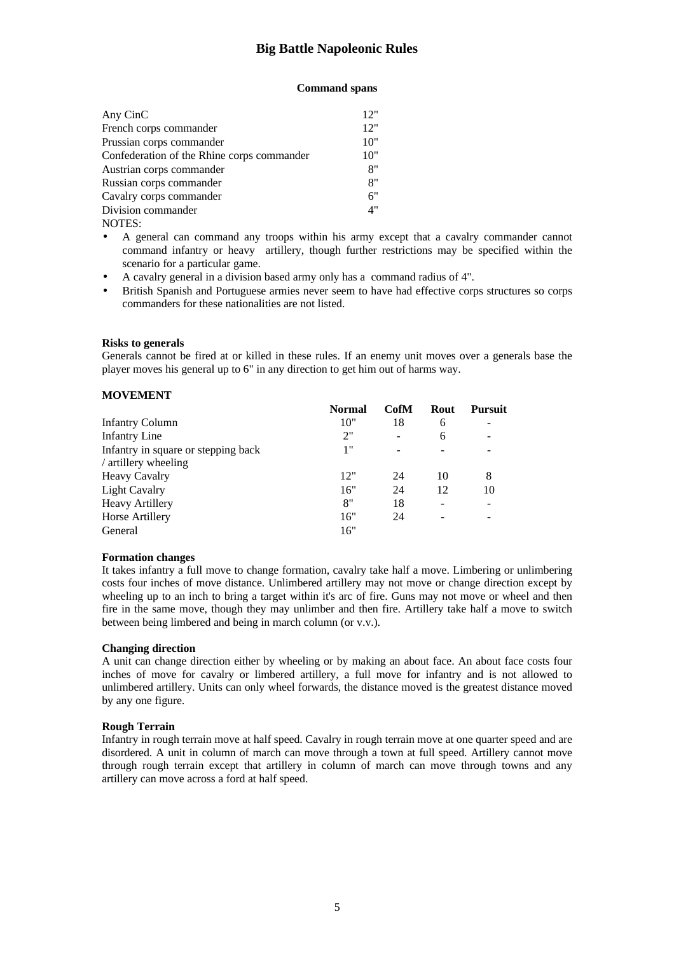### **Command spans**

| Any CinC                                   | 12" |
|--------------------------------------------|-----|
| French corps commander                     | 12" |
| Prussian corps commander                   | 10" |
| Confederation of the Rhine corps commander | 10" |
| Austrian corps commander                   | 8"  |
| Russian corps commander                    | 8"  |
| Cavalry corps commander                    | 6"  |
| Division commander                         | 4"  |
| NOTES:                                     |     |

• A general can command any troops within his army except that a cavalry commander cannot command infantry or heavy artillery, though further restrictions may be specified within the scenario for a particular game.

- A cavalry general in a division based army only has a command radius of 4".
- British Spanish and Portuguese armies never seem to have had effective corps structures so corps commanders for these nationalities are not listed.

#### **Risks to generals**

Generals cannot be fired at or killed in these rules. If an enemy unit moves over a generals base the player moves his general up to 6" in any direction to get him out of harms way.

### **MOVEMENT**

|                                                             | <b>Normal</b> | CofM | Rout | <b>Pursuit</b> |
|-------------------------------------------------------------|---------------|------|------|----------------|
| <b>Infantry Column</b>                                      | 10"           | 18   | 6    |                |
| <b>Infantry Line</b>                                        | 2"            |      | 6    |                |
| Infantry in square or stepping back<br>/ artillery wheeling | 1"            |      |      |                |
| <b>Heavy Cavalry</b>                                        | 12"           | 24   | 10   | 8              |
| <b>Light Cavalry</b>                                        | 16"           | 24   | 12   | 10             |
| <b>Heavy Artillery</b>                                      | 8"            | 18   | ۰    |                |
| Horse Artillery                                             | 16"           | 24   |      |                |
| General                                                     | 16"           |      |      |                |

#### **Formation changes**

It takes infantry a full move to change formation, cavalry take half a move. Limbering or unlimbering costs four inches of move distance. Unlimbered artillery may not move or change direction except by wheeling up to an inch to bring a target within it's arc of fire. Guns may not move or wheel and then fire in the same move, though they may unlimber and then fire. Artillery take half a move to switch between being limbered and being in march column (or v.v.).

#### **Changing direction**

A unit can change direction either by wheeling or by making an about face. An about face costs four inches of move for cavalry or limbered artillery, a full move for infantry and is not allowed to unlimbered artillery. Units can only wheel forwards, the distance moved is the greatest distance moved by any one figure.

#### **Rough Terrain**

Infantry in rough terrain move at half speed. Cavalry in rough terrain move at one quarter speed and are disordered. A unit in column of march can move through a town at full speed. Artillery cannot move through rough terrain except that artillery in column of march can move through towns and any artillery can move across a ford at half speed.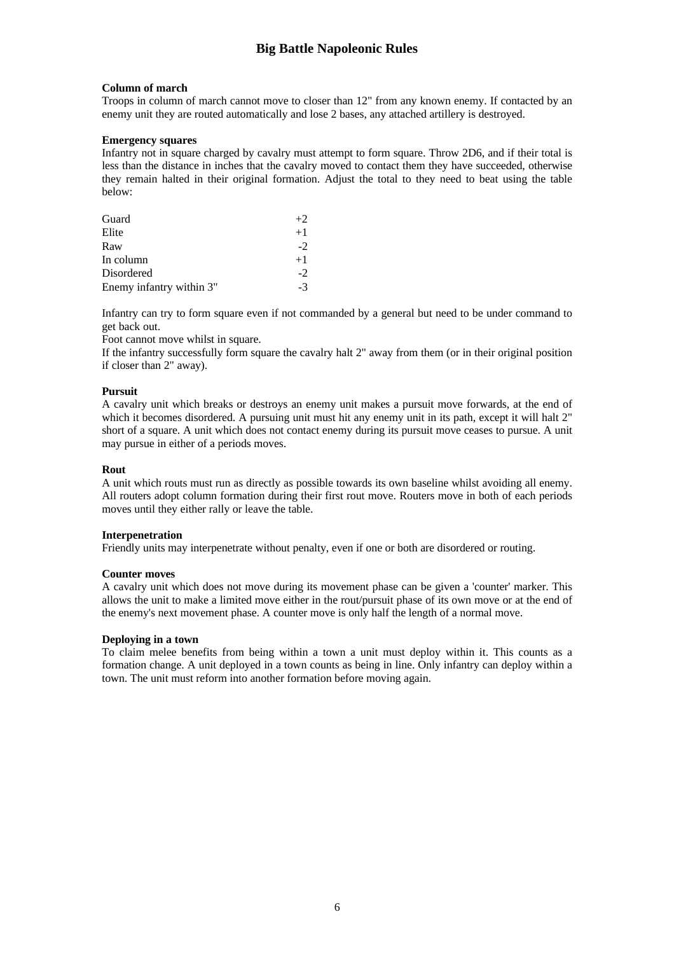#### **Column of march**

Troops in column of march cannot move to closer than 12" from any known enemy. If contacted by an enemy unit they are routed automatically and lose 2 bases, any attached artillery is destroyed.

#### **Emergency squares**

Infantry not in square charged by cavalry must attempt to form square. Throw 2D6, and if their total is less than the distance in inches that the cavalry moved to contact them they have succeeded, otherwise they remain halted in their original formation. Adjust the total to they need to beat using the table below:

| Guard                    | $+2$ |
|--------------------------|------|
| Elite                    | $+1$ |
| Raw                      | $-2$ |
| In column                | $+1$ |
| Disordered               | $-2$ |
| Enemy infantry within 3" | $-3$ |

Infantry can try to form square even if not commanded by a general but need to be under command to get back out.

Foot cannot move whilst in square.

If the infantry successfully form square the cavalry halt 2" away from them (or in their original position if closer than 2" away).

#### **Pursuit**

A cavalry unit which breaks or destroys an enemy unit makes a pursuit move forwards, at the end of which it becomes disordered. A pursuing unit must hit any enemy unit in its path, except it will halt 2" short of a square. A unit which does not contact enemy during its pursuit move ceases to pursue. A unit may pursue in either of a periods moves.

#### **Rout**

A unit which routs must run as directly as possible towards its own baseline whilst avoiding all enemy. All routers adopt column formation during their first rout move. Routers move in both of each periods moves until they either rally or leave the table.

#### **Interpenetration**

Friendly units may interpenetrate without penalty, even if one or both are disordered or routing.

#### **Counter moves**

A cavalry unit which does not move during its movement phase can be given a 'counter' marker. This allows the unit to make a limited move either in the rout/pursuit phase of its own move or at the end of the enemy's next movement phase. A counter move is only half the length of a normal move.

## **Deploying in a town**

To claim melee benefits from being within a town a unit must deploy within it. This counts as a formation change. A unit deployed in a town counts as being in line. Only infantry can deploy within a town. The unit must reform into another formation before moving again.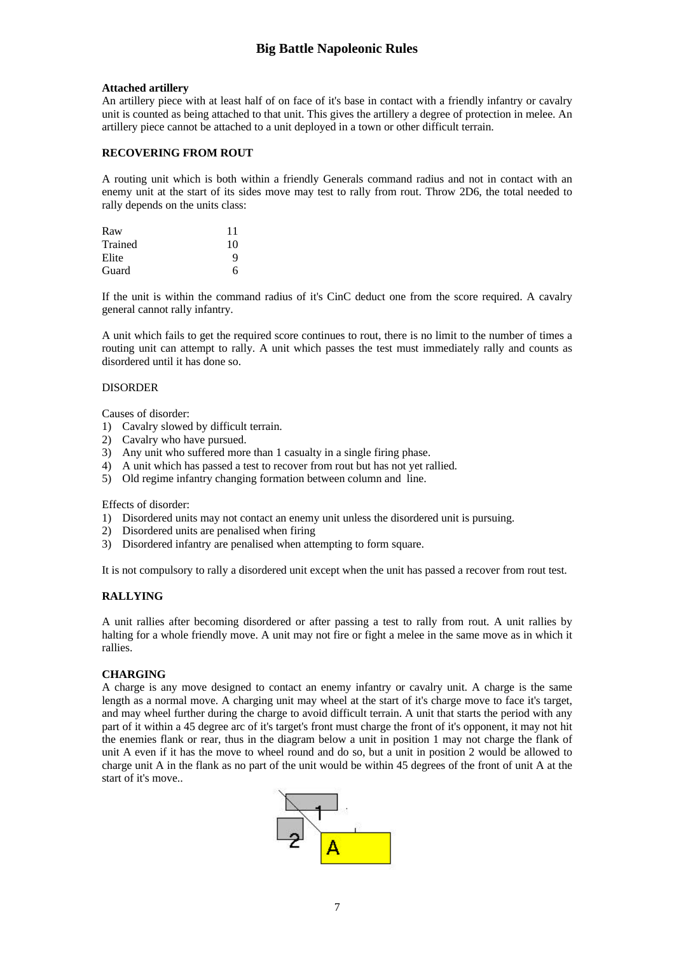## **Attached artillery**

An artillery piece with at least half of on face of it's base in contact with a friendly infantry or cavalry unit is counted as being attached to that unit. This gives the artillery a degree of protection in melee. An artillery piece cannot be attached to a unit deployed in a town or other difficult terrain.

## **RECOVERING FROM ROUT**

A routing unit which is both within a friendly Generals command radius and not in contact with an enemy unit at the start of its sides move may test to rally from rout. Throw 2D6, the total needed to rally depends on the units class:

| Raw     | 11 |
|---------|----|
| Trained | 10 |
| Elite   | Q  |
| Guard   | 6  |

If the unit is within the command radius of it's CinC deduct one from the score required. A cavalry general cannot rally infantry.

A unit which fails to get the required score continues to rout, there is no limit to the number of times a routing unit can attempt to rally. A unit which passes the test must immediately rally and counts as disordered until it has done so.

## DISORDER

Causes of disorder:

- 1) Cavalry slowed by difficult terrain.
- 2) Cavalry who have pursued.
- 3) Any unit who suffered more than 1 casualty in a single firing phase.
- 4) A unit which has passed a test to recover from rout but has not yet rallied.
- 5) Old regime infantry changing formation between column and line.

Effects of disorder:

- 1) Disordered units may not contact an enemy unit unless the disordered unit is pursuing.
- 2) Disordered units are penalised when firing
- 3) Disordered infantry are penalised when attempting to form square.

It is not compulsory to rally a disordered unit except when the unit has passed a recover from rout test.

## **RALLYING**

A unit rallies after becoming disordered or after passing a test to rally from rout. A unit rallies by halting for a whole friendly move. A unit may not fire or fight a melee in the same move as in which it rallies.

## **CHARGING**

A charge is any move designed to contact an enemy infantry or cavalry unit. A charge is the same length as a normal move. A charging unit may wheel at the start of it's charge move to face it's target, and may wheel further during the charge to avoid difficult terrain. A unit that starts the period with any part of it within a 45 degree arc of it's target's front must charge the front of it's opponent, it may not hit the enemies flank or rear, thus in the diagram below a unit in position 1 may not charge the flank of unit A even if it has the move to wheel round and do so, but a unit in position 2 would be allowed to charge unit A in the flank as no part of the unit would be within 45 degrees of the front of unit A at the start of it's move..

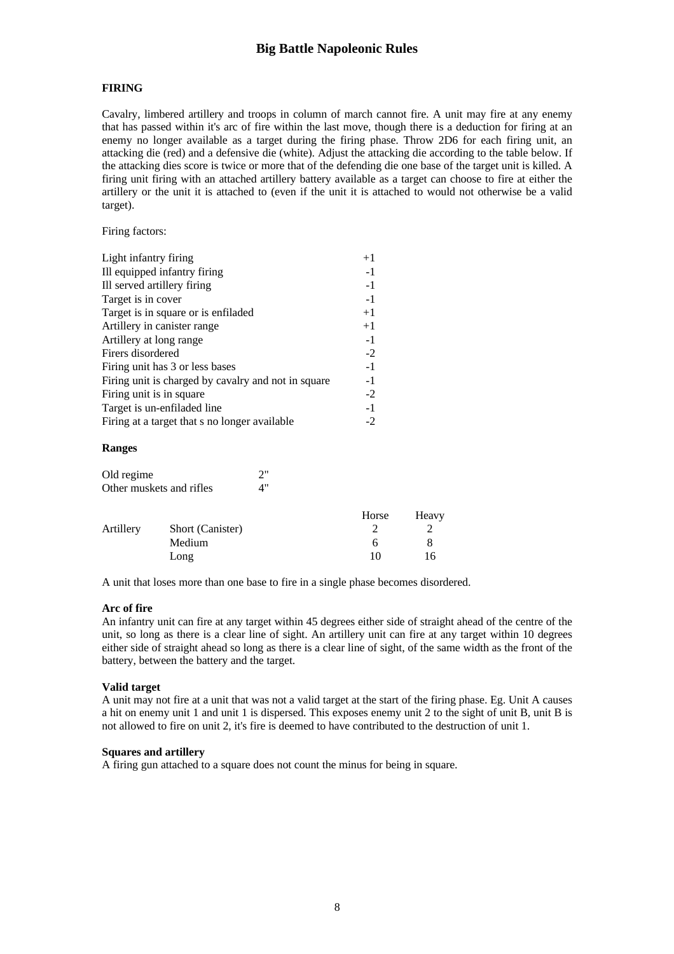## **FIRING**

Cavalry, limbered artillery and troops in column of march cannot fire. A unit may fire at any enemy that has passed within it's arc of fire within the last move, though there is a deduction for firing at an enemy no longer available as a target during the firing phase. Throw 2D6 for each firing unit, an attacking die (red) and a defensive die (white). Adjust the attacking die according to the table below. If the attacking dies score is twice or more that of the defending die one base of the target unit is killed. A firing unit firing with an attached artillery battery available as a target can choose to fire at either the artillery or the unit it is attached to (even if the unit it is attached to would not otherwise be a valid target).

Firing factors:

| Light infantry firing                               | $+1$ |
|-----------------------------------------------------|------|
| Ill equipped infantry firing                        | $-1$ |
| Ill served artillery firing                         | $-1$ |
| Target is in cover                                  | $-1$ |
| Target is in square or is enfiladed                 | $+1$ |
| Artillery in canister range                         | $+1$ |
| Artillery at long range                             | $-1$ |
| Firers disordered                                   | $-2$ |
| Firing unit has 3 or less bases                     | $-1$ |
| Firing unit is charged by cavalry and not in square | $-1$ |
| Firing unit is in square                            | $-2$ |
| Target is un-enfiladed line                         | $-1$ |
| Firing at a target that s no longer available       | -2   |
|                                                     |      |

#### **Ranges**

| Old regime               | 2" |
|--------------------------|----|
| Other muskets and rifles | 4" |

|           |                  | Horse | Heavy |
|-----------|------------------|-------|-------|
| Artillery | Short (Canister) |       |       |
|           | Medium           | h     |       |
|           | Long             | 10    | 16    |

A unit that loses more than one base to fire in a single phase becomes disordered.

#### **Arc of fire**

An infantry unit can fire at any target within 45 degrees either side of straight ahead of the centre of the unit, so long as there is a clear line of sight. An artillery unit can fire at any target within 10 degrees either side of straight ahead so long as there is a clear line of sight, of the same width as the front of the battery, between the battery and the target.

#### **Valid target**

A unit may not fire at a unit that was not a valid target at the start of the firing phase. Eg. Unit A causes a hit on enemy unit 1 and unit 1 is dispersed. This exposes enemy unit 2 to the sight of unit B, unit B is not allowed to fire on unit 2, it's fire is deemed to have contributed to the destruction of unit 1.

## **Squares and artillery**

A firing gun attached to a square does not count the minus for being in square.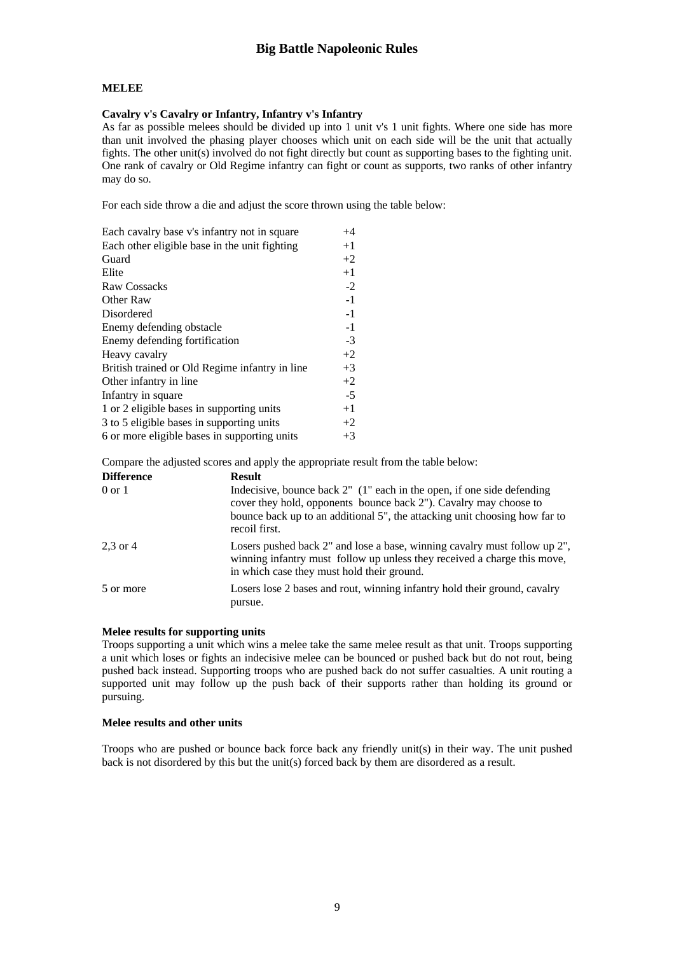# **MELEE**

## **Cavalry v's Cavalry or Infantry, Infantry v's Infantry**

As far as possible melees should be divided up into 1 unit v's 1 unit fights. Where one side has more than unit involved the phasing player chooses which unit on each side will be the unit that actually fights. The other unit(s) involved do not fight directly but count as supporting bases to the fighting unit. One rank of cavalry or Old Regime infantry can fight or count as supports, two ranks of other infantry may do so.

For each side throw a die and adjust the score thrown using the table below:

| Each cavalry base v's infantry not in square   | $+4$ |
|------------------------------------------------|------|
| Each other eligible base in the unit fighting  | $+1$ |
| Guard                                          | $+2$ |
| Elite                                          | $+1$ |
| <b>Raw Cossacks</b>                            | $-2$ |
| Other Raw                                      | $-1$ |
| Disordered                                     | $-1$ |
| Enemy defending obstacle                       | $-1$ |
| Enemy defending fortification                  | $-3$ |
| Heavy cavalry                                  | $+2$ |
| British trained or Old Regime infantry in line | $+3$ |
| Other infantry in line                         | $+2$ |
| Infantry in square                             | $-5$ |
| 1 or 2 eligible bases in supporting units      | $+1$ |
| 3 to 5 eligible bases in supporting units      | $+2$ |
| 6 or more eligible bases in supporting units   | $+3$ |

Compare the adjusted scores and apply the appropriate result from the table below:

| <b>Difference</b> | <b>Result</b>                                                                                                                                                                                                                              |  |
|-------------------|--------------------------------------------------------------------------------------------------------------------------------------------------------------------------------------------------------------------------------------------|--|
| $0 \text{ or } 1$ | Indecisive, bounce back 2" (1" each in the open, if one side defending<br>cover they hold, opponents bounce back 2"). Cavalry may choose to<br>bounce back up to an additional 5", the attacking unit choosing how far to<br>recoil first. |  |
| $2.3$ or $4$      | Losers pushed back 2" and lose a base, winning cavalry must follow up 2",<br>winning infantry must follow up unless they received a charge this move,<br>in which case they must hold their ground.                                        |  |
| 5 or more         | Losers lose 2 bases and rout, winning infantry hold their ground, cavalry<br>pursue.                                                                                                                                                       |  |

#### **Melee results for supporting units**

Troops supporting a unit which wins a melee take the same melee result as that unit. Troops supporting a unit which loses or fights an indecisive melee can be bounced or pushed back but do not rout, being pushed back instead. Supporting troops who are pushed back do not suffer casualties. A unit routing a supported unit may follow up the push back of their supports rather than holding its ground or pursuing.

#### **Melee results and other units**

Troops who are pushed or bounce back force back any friendly unit(s) in their way. The unit pushed back is not disordered by this but the unit(s) forced back by them are disordered as a result.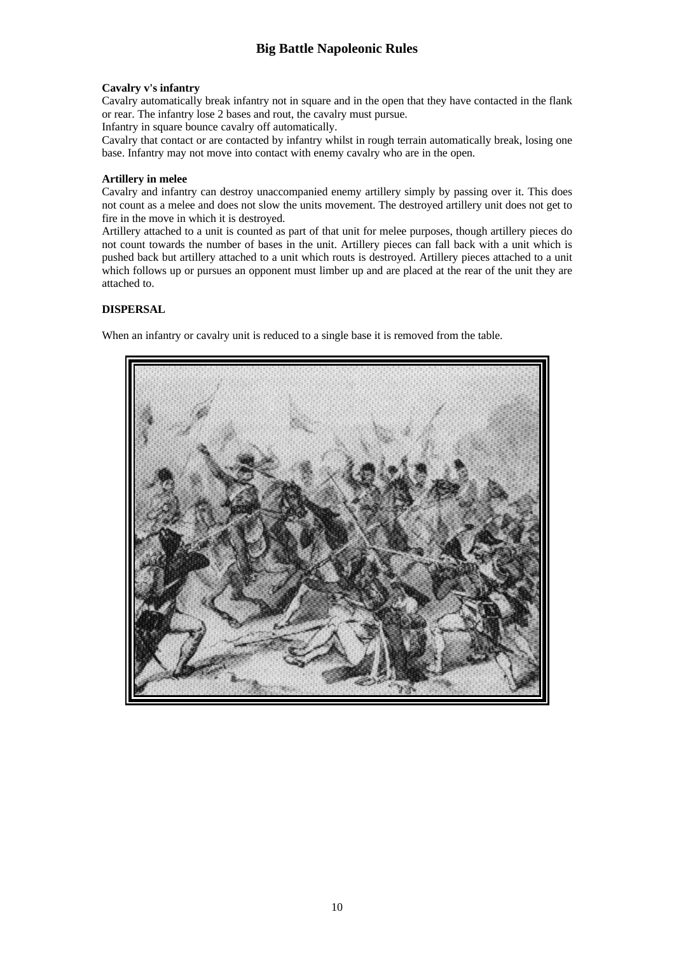## **Cavalry v's infantry**

Cavalry automatically break infantry not in square and in the open that they have contacted in the flank or rear. The infantry lose 2 bases and rout, the cavalry must pursue.

Infantry in square bounce cavalry off automatically.

Cavalry that contact or are contacted by infantry whilst in rough terrain automatically break, losing one base. Infantry may not move into contact with enemy cavalry who are in the open.

## **Artillery in melee**

Cavalry and infantry can destroy unaccompanied enemy artillery simply by passing over it. This does not count as a melee and does not slow the units movement. The destroyed artillery unit does not get to fire in the move in which it is destroyed.

Artillery attached to a unit is counted as part of that unit for melee purposes, though artillery pieces do not count towards the number of bases in the unit. Artillery pieces can fall back with a unit which is pushed back but artillery attached to a unit which routs is destroyed. Artillery pieces attached to a unit which follows up or pursues an opponent must limber up and are placed at the rear of the unit they are attached to.

# **DISPERSAL**

When an infantry or cavalry unit is reduced to a single base it is removed from the table.

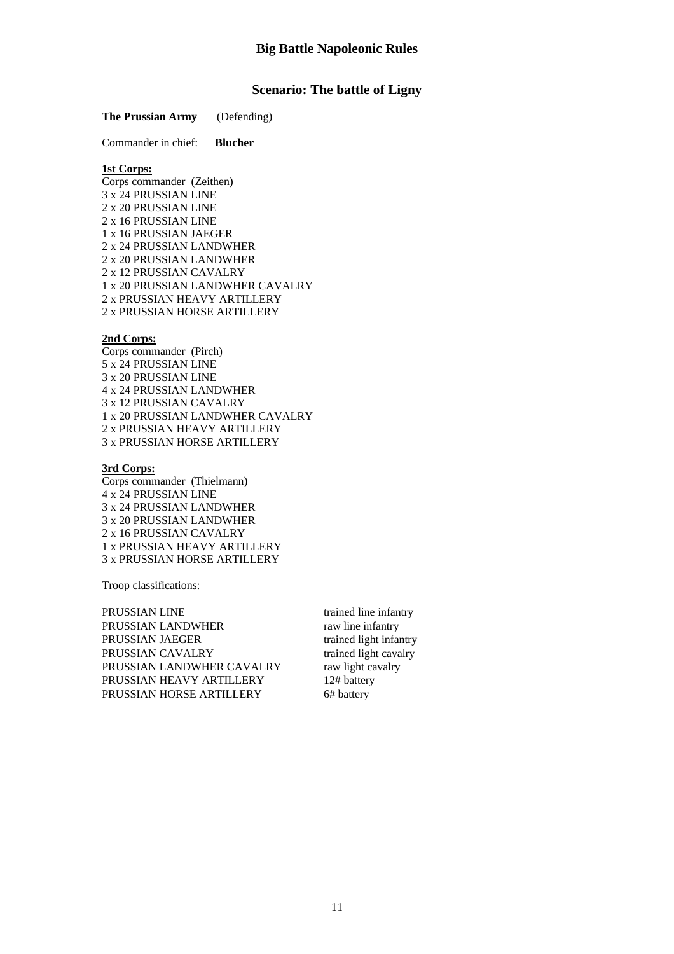# **Scenario: The battle of Ligny**

#### **The Prussian Army** (Defending)

Commander in chief: **Blucher**

# **1st Corps:**

Corps commander (Zeithen) 3 x 24 PRUSSIAN LINE 2 x 20 PRUSSIAN LINE 2 x 16 PRUSSIAN LINE 1 x 16 PRUSSIAN JAEGER 2 x 24 PRUSSIAN LANDWHER 2 x 20 PRUSSIAN LANDWHER 2 x 12 PRUSSIAN CAVALRY 1 x 20 PRUSSIAN LANDWHER CAVALRY 2 x PRUSSIAN HEAVY ARTILLERY 2 x PRUSSIAN HORSE ARTILLERY

#### **2nd Corps:**

Corps commander (Pirch) 5 x 24 PRUSSIAN LINE 3 x 20 PRUSSIAN LINE 4 x 24 PRUSSIAN LANDWHER 3 x 12 PRUSSIAN CAVALRY 1 x 20 PRUSSIAN LANDWHER CAVALRY 2 x PRUSSIAN HEAVY ARTILLERY 3 x PRUSSIAN HORSE ARTILLERY

# **3rd Corps:**

Corps commander (Thielmann) 4 x 24 PRUSSIAN LINE 3 x 24 PRUSSIAN LANDWHER 3 x 20 PRUSSIAN LANDWHER 2 x 16 PRUSSIAN CAVALRY 1 x PRUSSIAN HEAVY ARTILLERY 3 x PRUSSIAN HORSE ARTILLERY

Troop classifications:

PRUSSIAN LINE trained line infantry PRUSSIAN LANDWHER raw line infantry PRUSSIAN JAEGER trained light infantry<br>
PRUSSIAN CAVALRY trained light cavalry PRUSSIAN CAVALRY trained light cava<br>
PRUSSIAN LANDWHER CAVALRY raw light cavalry PRUSSIAN LANDWHER CAVALRY PRUSSIAN HEAVY ARTILLERY 12# battery PRUSSIAN HORSE ARTILLERY 6# battery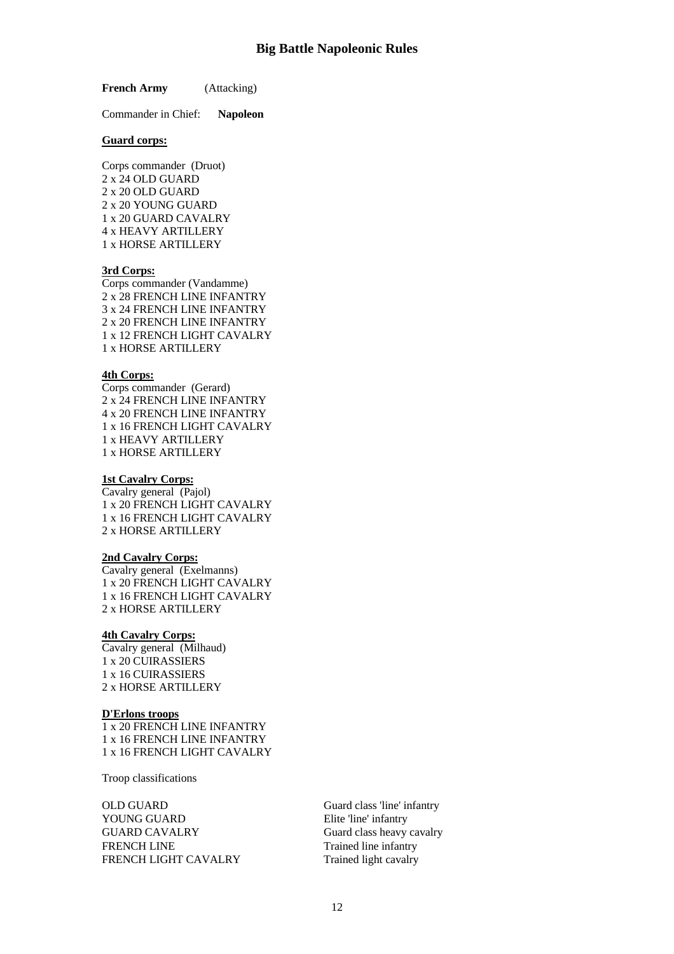**French Army** (Attacking)

Commander in Chief: **Napoleon**

#### **Guard corps:**

Corps commander (Druot) 2 x 24 OLD GUARD 2 x 20 OLD GUARD 2 x 20 YOUNG GUARD 1 x 20 GUARD CAVALRY 4 x HEAVY ARTILLERY 1 x HORSE ARTILLERY

#### **3rd Corps:**

Corps commander (Vandamme) 2 x 28 FRENCH LINE INFANTRY 3 x 24 FRENCH LINE INFANTRY 2 x 20 FRENCH LINE INFANTRY 1 x 12 FRENCH LIGHT CAVALRY 1 x HORSE ARTILLERY

# **4th Corps:**

Corps commander (Gerard) 2 x 24 FRENCH LINE INFANTRY 4 x 20 FRENCH LINE INFANTRY 1 x 16 FRENCH LIGHT CAVALRY 1 x HEAVY ARTILLERY 1 x HORSE ARTILLERY

#### **1st Cavalry Corps:**

Cavalry general (Pajol) 1 x 20 FRENCH LIGHT CAVALRY 1 x 16 FRENCH LIGHT CAVALRY 2 x HORSE ARTILLERY

#### **2nd Cavalry Corps:**

Cavalry general (Exelmanns) 1 x 20 FRENCH LIGHT CAVALRY 1 x 16 FRENCH LIGHT CAVALRY 2 x HORSE ARTILLERY

#### **4th Cavalry Corps:**

Cavalry general (Milhaud) 1 x 20 CUIRASSIERS 1 x 16 CUIRASSIERS 2 x HORSE ARTILLERY

#### **D'Erlons troops**

1 x 20 FRENCH LINE INFANTRY 1 x 16 FRENCH LINE INFANTRY 1 x 16 FRENCH LIGHT CAVALRY

Troop classifications

OLD GUARD Guard class 'line' infantry YOUNG GUARD Elite 'line' infantry GUARD CAVALRY Guard class heavy cavalry FRENCH LINE Trained line infantry FRENCH LIGHT CAVALRY Trained light cavalry